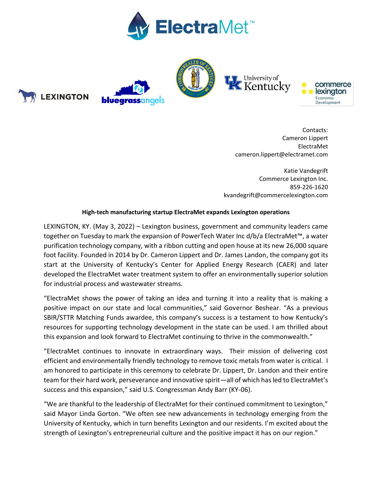









Contacts: Cameron Lippert ElectraMet cameron.lippert@electramet.com

University of

Katie Vandegrift Commerce Lexington Inc. 859-226-1620 kvandegrift@commercelexington.com

## **High-tech manufacturing startup ElectraMet expands Lexington operations**

LEXINGTON, KY. (May 3, 2022) – Lexington business, government and community leaders came together on Tuesday to mark the expansion of PowerTech Water Inc d/b/a ElectraMet™, a water purification technology company, with a ribbon cutting and open house at its new 26,000 square foot facility. Founded in 2014 by Dr. Cameron Lippert and Dr. James Landon, the company got its start at the University of Kentucky's Center for Applied Energy Research (CAER) and later developed the ElectraMet water treatment system to offer an environmentally superior solution for industrial process and wastewater streams.

"ElectraMet shows the power of taking an idea and turning it into a reality that is making a positive impact on our state and local communities," said Governor Beshear. "As a previous SBIR/STTR Matching Funds awardee, this company's success is a testament to how Kentucky's resources for supporting technology development in the state can be used. I am thrilled about this expansion and look forward to ElectraMet continuing to thrive in the commonwealth."

"ElectraMet continues to innovate in extraordinary ways. Their mission of delivering cost efficient and environmentally friendly technology to remove toxic metals from water is critical. I am honored to participate in this ceremony to celebrate Dr. Lippert, Dr. Landon and their entire team for their hard work, perseverance and innovative spirit—all of which has led to ElectraMet's success and this expansion," said U.S. Congressman Andy Barr (KY-06).

"We are thankful to the leadership of ElectraMet for their continued commitment to Lexington," said Mayor Linda Gorton. "We often see new advancements in technology emerging from the University of Kentucky, which in turn benefits Lexington and our residents. I'm excited about the strength of Lexington's entrepreneurial culture and the positive impact it has on our region."